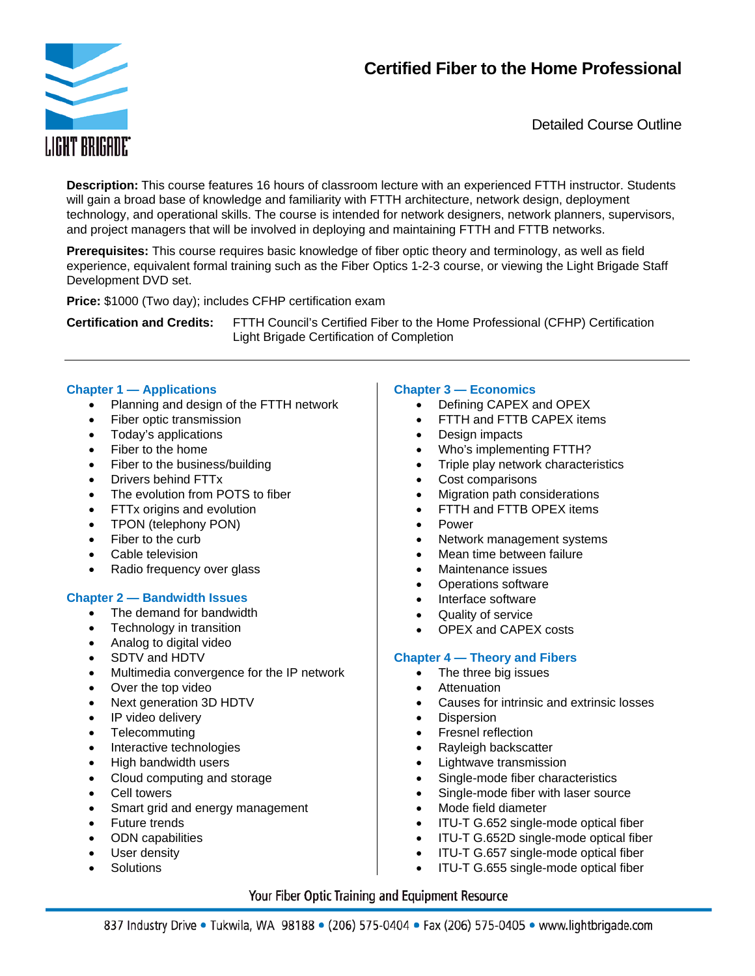# **Certified Fiber to the Home Professional**



Detailed Course Outline

**Description:** This course features 16 hours of classroom lecture with an experienced FTTH instructor. Students will gain a broad base of knowledge and familiarity with FTTH architecture, network design, deployment technology, and operational skills. The course is intended for network designers, network planners, supervisors, and project managers that will be involved in deploying and maintaining FTTH and FTTB networks.

**Prerequisites:** This course requires basic knowledge of fiber optic theory and terminology, as well as field experience, equivalent formal training such as the Fiber Optics 1-2-3 course, or viewing the Light Brigade Staff Development DVD set.

**Price:** \$1000 (Two day); includes CFHP certification exam

**Certification and Credits:** FTTH Council's Certified Fiber to the Home Professional (CFHP) Certification Light Brigade Certification of Completion

# **Chapter 1 — Applications**

- Planning and design of the FTTH network
- Fiber optic transmission
- Today's applications
- Fiber to the home
- Fiber to the business/building
- Drivers behind FTTx
- The evolution from POTS to fiber
- FTTx origins and evolution
- TPON (telephony PON)
- Fiber to the curb
- Cable television
- Radio frequency over glass

# **Chapter 2 — Bandwidth Issues**

- The demand for bandwidth
- Technology in transition
- Analog to digital video
- SDTV and HDTV
- Multimedia convergence for the IP network
- Over the top video
- Next generation 3D HDTV
- IP video delivery
- Telecommuting
- Interactive technologies
- High bandwidth users
- Cloud computing and storage
- Cell towers
- Smart grid and energy management
- Future trends
- ODN capabilities
- User density
- **Solutions**

# **Chapter 3 — Economics**

- Defining CAPEX and OPEX
- FTTH and FTTB CAPEX items
- Design impacts
- Who's implementing FTTH?
- Triple play network characteristics
- Cost comparisons
- Migration path considerations
- FTTH and FTTB OPEX items
- Power
- Network management systems
- Mean time between failure
- Maintenance issues
- Operations software
- Interface software
- Quality of service
- OPEX and CAPEX costs

# **Chapter 4 — Theory and Fibers**

- The three big issues
- **•** Attenuation
- Causes for intrinsic and extrinsic losses
- Dispersion
- Fresnel reflection
- Rayleigh backscatter
- Lightwave transmission
- Single-mode fiber characteristics
- Single-mode fiber with laser source
- Mode field diameter
- ITU-T G.652 single-mode optical fiber
- ITU-T G.652D single-mode optical fiber
- ITU-T G.657 single-mode optical fiber
- ITU-T G.655 single-mode optical fiber

# Your Fiber Optic Training and Equipment Resource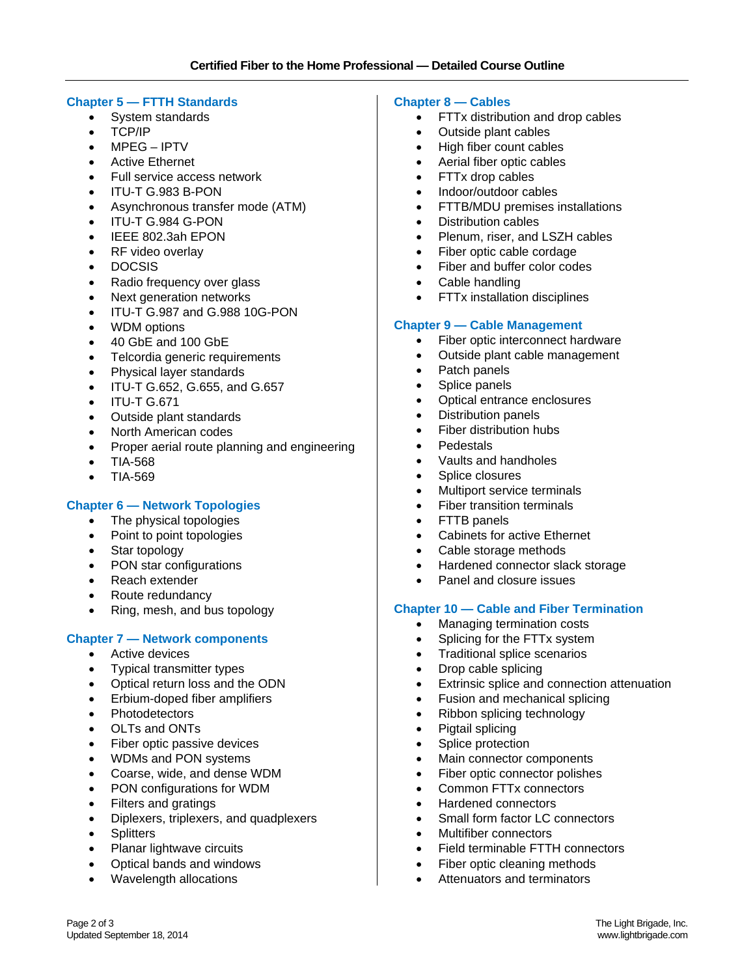#### **Chapter 5 — FTTH Standards**

- System standards
- TCP/IP
- MPEG IPTV
- Active Ethernet
- Full service access network
- ITU-T G.983 B-PON
- Asynchronous transfer mode (ATM)
- ITU-T G.984 G-PON
- IEEE 802.3ah EPON
- RF video overlay
- DOCSIS
- Radio frequency over glass
- Next generation networks
- ITU-T G.987 and G.988 10G-PON
- WDM options
- 40 GbE and 100 GbE
- Telcordia generic requirements
- Physical layer standards
- ITU-T G.652, G.655, and G.657
- ITU-T G.671
- Outside plant standards
- North American codes
- Proper aerial route planning and engineering
- TIA-568
- TIA-569

# **Chapter 6 — Network Topologies**

- The physical topologies
- Point to point topologies
- Star topology
- PON star configurations
- Reach extender
- Route redundancy
- Ring, mesh, and bus topology

# **Chapter 7 — Network components**

- Active devices
- Typical transmitter types
- Optical return loss and the ODN
- Erbium-doped fiber amplifiers
- **Photodetectors**
- OLTs and ONTs
- Fiber optic passive devices
- WDMs and PON systems
- Coarse, wide, and dense WDM
- PON configurations for WDM
- Filters and gratings
- Diplexers, triplexers, and quadplexers
- Splitters

Updated September 18, 2014

- Planar lightwave circuits
- Optical bands and windows
- Wavelength allocations

#### **Chapter 8 — Cables**

- FTTx distribution and drop cables
- Outside plant cables
- High fiber count cables
- Aerial fiber optic cables
- FTTx drop cables
- Indoor/outdoor cables
- FTTB/MDU premises installations
- Distribution cables
- Plenum, riser, and LSZH cables
- Fiber optic cable cordage
- Fiber and buffer color codes
- Cable handling
- FTTx installation disciplines

#### **Chapter 9 — Cable Management**

- Fiber optic interconnect hardware
- Outside plant cable management
- Patch panels
- Splice panels
- Optical entrance enclosures
- Distribution panels
- Fiber distribution hubs
- **•** Pedestals
- Vaults and handholes
- Splice closures
- Multiport service terminals
- Fiber transition terminals
- FTTB panels
- Cabinets for active Ethernet
- Cable storage methods
- Hardened connector slack storage
- Panel and closure issues

#### **Chapter 10 — Cable and Fiber Termination**

- Managing termination costs
- Splicing for the FTTx system
- Traditional splice scenarios
- Drop cable splicing
- **Extrinsic splice and connection attenuation**
- Fusion and mechanical splicing
- Ribbon splicing technology
- Pigtail splicing
- Splice protection
- Main connector components
- Fiber optic connector polishes
- Common FTTx connectors

• Fiber optic cleaning methods Attenuators and terminators

- Hardened connectors
- Small form factor LC connectors

Field terminable FTTH connectors

Multifiber connectors

Page 2 of 3 The Light Brigade, Inc.